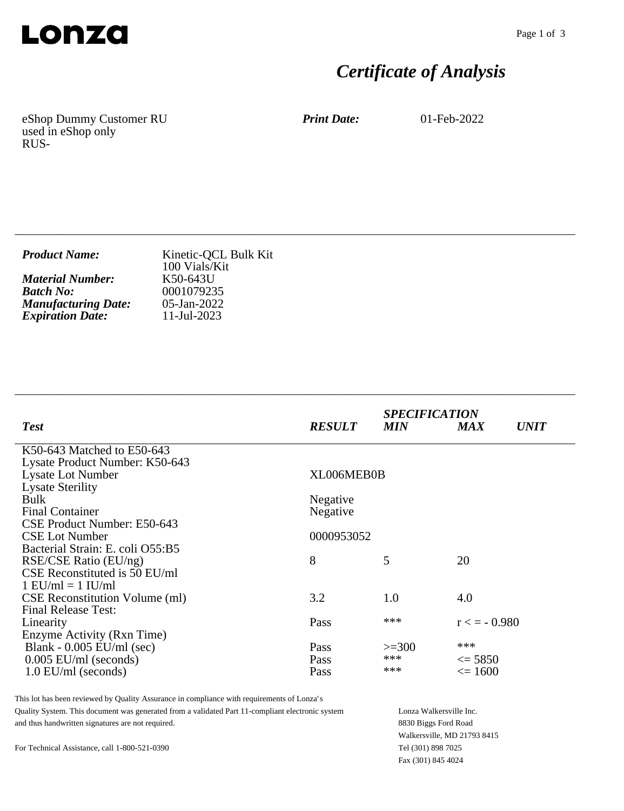

# *Certificate of Analysis*

eShop Dummy Customer RU used in eShop only RUS-

*Print Date:* 01-Feb-2022

| <b>Product Name:</b>       | Kinetic-QCL Bulk Kit<br>100 Vials/Kit |
|----------------------------|---------------------------------------|
| <b>Material Number:</b>    | K50-643U                              |
| <b>Batch No:</b>           | 0001079235                            |
| <b>Manufacturing Date:</b> | $05$ -Jan-2022                        |
| <b>Expiration Date:</b>    | 11-Jul-2023                           |

\_\_\_\_\_\_\_\_\_\_\_\_\_\_\_\_\_\_\_\_\_\_\_\_\_\_\_\_\_\_\_\_\_\_\_\_\_\_\_\_\_\_\_\_\_\_\_\_\_\_\_\_\_\_\_\_\_\_\_\_\_\_\_\_\_\_\_\_\_\_\_\_\_\_\_\_

\_\_\_\_\_\_\_\_\_\_\_\_\_\_\_\_\_\_\_\_\_\_\_\_\_\_\_\_\_\_\_\_\_\_\_\_\_\_\_\_\_\_\_\_\_\_\_\_\_\_\_\_\_\_\_\_\_\_\_\_\_\_\_\_\_\_\_\_\_\_\_\_\_\_\_\_

| <b>Test</b>                           | <b>RESULT</b> | <b>SPECIFICATION</b><br><b>MIN</b> | <b>MAX</b>        | <b>UNIT</b> |
|---------------------------------------|---------------|------------------------------------|-------------------|-------------|
| K50-643 Matched to E50-643            |               |                                    |                   |             |
| Lysate Product Number: K50-643        |               |                                    |                   |             |
| <b>Lysate Lot Number</b>              | XL006MEB0B    |                                    |                   |             |
| <b>Lysate Sterility</b>               |               |                                    |                   |             |
| <b>Bulk</b>                           | Negative      |                                    |                   |             |
| <b>Final Container</b>                | Negative      |                                    |                   |             |
| CSE Product Number: E50-643           |               |                                    |                   |             |
| <b>CSE Lot Number</b>                 | 0000953052    |                                    |                   |             |
| Bacterial Strain: E. coli O55:B5      |               |                                    |                   |             |
| RSE/CSE Ratio (EU/ng)                 | 8             | 5                                  | 20                |             |
| CSE Reconstituted is 50 EU/ml         |               |                                    |                   |             |
| $1$ EU/ml = $1$ IU/ml                 |               |                                    |                   |             |
| <b>CSE Reconstitution Volume (ml)</b> | 3.2           | 1.0                                | 4.0               |             |
| <b>Final Release Test:</b>            |               |                                    |                   |             |
| Linearity                             | Pass          | ***                                | $r \leq -0.980$   |             |
| Enzyme Activity (Rxn Time)            |               |                                    |                   |             |
| Blank - $0.005$ EU/ml (sec)           | Pass          | $>=300$                            | ***               |             |
| $0.005$ EU/ml (seconds)               | <b>Pass</b>   | ***                                | $\leq$ 5850       |             |
| $1.0$ EU/ml (seconds)                 | Pass          | ***                                | $\epsilon = 1600$ |             |

This lot has been reviewed by Quality Assurance in compliance with requirements of Lonza's Quality System. This document was generated from a validated Part 11-compliant electronic system and thus handwritten signatures are not required.

For Technical Assistance, call 1-800-521-0390

Lonza Walkersville Inc. 8830 Biggs Ford Road Walkersville, MD 21793 8415 Tel (301) 898 7025 Fax (301) 845 4024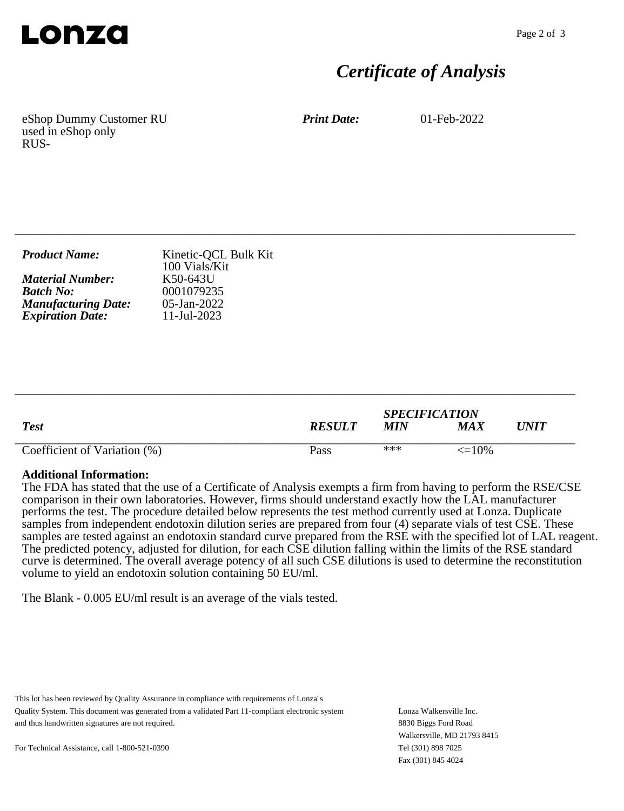

### *Certificate of Analysis*

eShop Dummy Customer RU used in eShop only RUS-

*Print Date:* 01-Feb-2022

| <b>Product Name:</b>       | Kinetic-QCL Bulk Kit<br>100 Vials/Kit |
|----------------------------|---------------------------------------|
| <b>Material Number:</b>    | K50-643U                              |
| <b>Batch No:</b>           | 0001079235                            |
| <b>Manufacturing Date:</b> | $05$ -Jan-2022                        |
| <b>Expiration Date:</b>    | $11$ -Jul-2023                        |

\_\_\_\_\_\_\_\_\_\_\_\_\_\_\_\_\_\_\_\_\_\_\_\_\_\_\_\_\_\_\_\_\_\_\_\_\_\_\_\_\_\_\_\_\_\_\_\_\_\_\_\_\_\_\_\_\_\_\_\_\_\_\_\_\_\_\_\_\_\_\_\_\_\_\_\_

|                              |               | <b>SPECIFICATION</b> |              |             |
|------------------------------|---------------|----------------------|--------------|-------------|
| <b>Test</b>                  | <b>RESULT</b> | MIN                  | MAX          | $\bm{UNIT}$ |
| Coefficient of Variation (%) | Pass          | ***                  | $\leq$ = 10% |             |

\_\_\_\_\_\_\_\_\_\_\_\_\_\_\_\_\_\_\_\_\_\_\_\_\_\_\_\_\_\_\_\_\_\_\_\_\_\_\_\_\_\_\_\_\_\_\_\_\_\_\_\_\_\_\_\_\_\_\_\_\_\_\_\_\_\_\_\_\_\_\_\_\_\_\_\_

#### **Additional Information:**

The FDA has stated that the use of a Certificate of Analysis exempts a firm from having to perform the RSE/CSE comparison in their own laboratories. However, firms should understand exactly how the LAL manufacturer performs the test. The procedure detailed below represents the test method currently used at Lonza. Duplicate samples from independent endotoxin dilution series are prepared from four (4) separate vials of test CSE. These samples are tested against an endotoxin standard curve prepared from the RSE with the specified lot of LAL reagent. The predicted potency, adjusted for dilution, for each CSE dilution falling within the limits of the RSE standard curve is determined. The overall average potency of all such CSE dilutions is used to determine the reconstitution volume to yield an endotoxin solution containing 50 EU/ml.

The Blank - 0.005 EU/ml result is an average of the vials tested.

This lot has been reviewed by Quality Assurance in compliance with requirements of Lonza's Quality System. This document was generated from a validated Part 11-compliant electronic system and thus handwritten signatures are not required.

Lonza Walkersville Inc. 8830 Biggs Ford Road Walkersville, MD 21793 8415 Tel (301) 898 7025 Fax (301) 845 4024

For Technical Assistance, call 1-800-521-0390